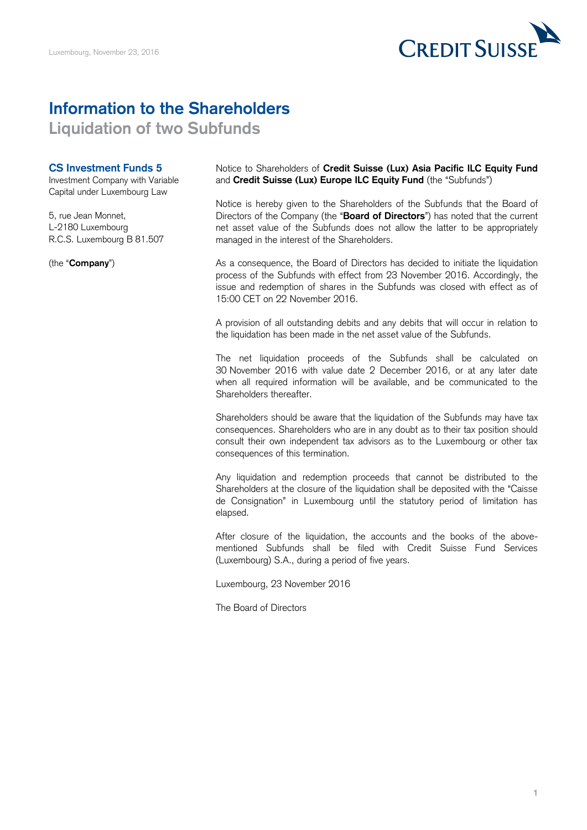

## **Information to the Shareholders**

**Liquidation of two Subfunds**

## **CS Investment Funds 5**

Investment Company with Variable Capital under Luxembourg Law

5, rue Jean Monnet, L-2180 Luxembourg R.C.S. Luxembourg B 81.507

(the "**Company**")

Notice to Shareholders of **Credit Suisse (Lux) Asia Pacific ILC Equity Fund** and **Credit Suisse (Lux) Europe ILC Equity Fund** (the "Subfunds")

Notice is hereby given to the Shareholders of the Subfunds that the Board of Directors of the Company (the "**Board of Directors**") has noted that the current net asset value of the Subfunds does not allow the latter to be appropriately managed in the interest of the Shareholders.

As a consequence, the Board of Directors has decided to initiate the liquidation process of the Subfunds with effect from 23 November 2016. Accordingly, the issue and redemption of shares in the Subfunds was closed with effect as of 15:00 CET on 22 November 2016.

A provision of all outstanding debits and any debits that will occur in relation to the liquidation has been made in the net asset value of the Subfunds.

The net liquidation proceeds of the Subfunds shall be calculated on 30 November 2016 with value date 2 December 2016, or at any later date when all required information will be available, and be communicated to the Shareholders thereafter.

Shareholders should be aware that the liquidation of the Subfunds may have tax consequences. Shareholders who are in any doubt as to their tax position should consult their own independent tax advisors as to the Luxembourg or other tax consequences of this termination.

Any liquidation and redemption proceeds that cannot be distributed to the Shareholders at the closure of the liquidation shall be deposited with the "Caisse de Consignation" in Luxembourg until the statutory period of limitation has elapsed.

After closure of the liquidation, the accounts and the books of the abovementioned Subfunds shall be filed with Credit Suisse Fund Services (Luxembourg) S.A., during a period of five years.

Luxembourg, 23 November 2016

The Board of Directors